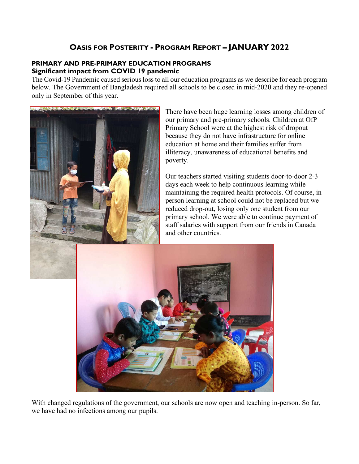# **OASIS FOR POSTERITY - PROGRAM REPORT – JANUARY 2022**

### **PRIMARY AND PRE-PRIMARY EDUCATION PROGRAMS Significant impact from COVID 19 pandemic**

The Covid-19 Pandemic caused serious loss to all our education programs as we describe for each program below. The Government of Bangladesh required all schools to be closed in mid-2020 and they re-opened only in September of this year.



There have been huge learning losses among children of our primary and pre-primary schools. Children at OfP Primary School were at the highest risk of dropout because they do not have infrastructure for online education at home and their families suffer from illiteracy, unawareness of educational benefits and poverty.

Our teachers started visiting students door-to-door 2-3 days each week to help continuous learning while maintaining the required health protocols. Of course, inperson learning at school could not be replaced but we reduced drop-out, losing only one student from our primary school. We were able to continue payment of staff salaries with support from our friends in Canada and other countries.



With changed regulations of the government, our schools are now open and teaching in-person. So far, we have had no infections among our pupils.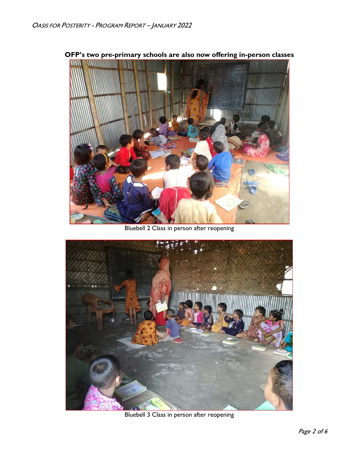

**OFP's two pre-primary schools are also now offering in-person classes** 

Bluebell 2 Class in person after reopening



Bluebell 3 Class in person after reopening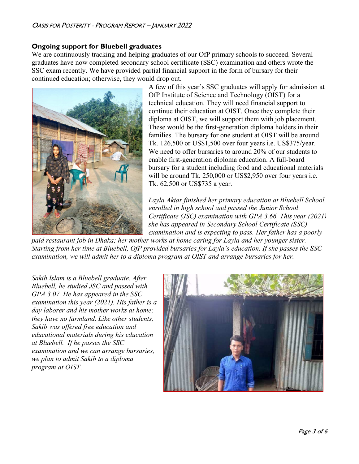### **Ongoing support for Bluebell graduates**

We are continuously tracking and helping graduates of our OfP primary schools to succeed. Several graduates have now completed secondary school certificate (SSC) examination and others wrote the SSC exam recently. We have provided partial financial support in the form of bursary for their continued education; otherwise, they would drop out.



A few of this year's SSC graduates will apply for admission at OfP Institute of Science and Technology (OIST) for a technical education. They will need financial support to continue their education at OIST. Once they complete their diploma at OIST, we will support them with job placement. These would be the first-generation diploma holders in their families. The bursary for one student at OIST will be around Tk. 126,500 or US\$1,500 over four years i.e. US\$375/year. We need to offer bursaries to around 20% of our students to enable first-generation diploma education. A full-board bursary for a student including food and educational materials will be around Tk. 250,000 or US\$2,950 over four years i.e. Tk. 62,500 or US\$735 a year.

*Layla Aktar finished her primary education at Bluebell School, enrolled in high school and passed the Junior School Certificate (JSC) examination with GPA 3.66. This year (2021) she has appeared in Secondary School Certificate (SSC) examination and is expecting to pass. Her father has a poorly* 

*paid restaurant job in Dhaka; her mother works at home caring for Layla and her younger sister. Starting from her time at Bluebell, OfP provided bursaries for Layla's education. If she passes the SSC examination, we will admit her to a diploma program at OIST and arrange bursaries for her.* 

*Sakib Islam is a Bluebell graduate. After Bluebell, he studied JSC and passed with GPA 3.07. He has appeared in the SSC examination this year (2021). His father is a day laborer and his mother works at home; they have no farmland. Like other students, Sakib was offered free education and educational materials during his education at Bluebell. If he passes the SSC examination and we can arrange bursaries, we plan to admit Sakib to a diploma program at OIST*.

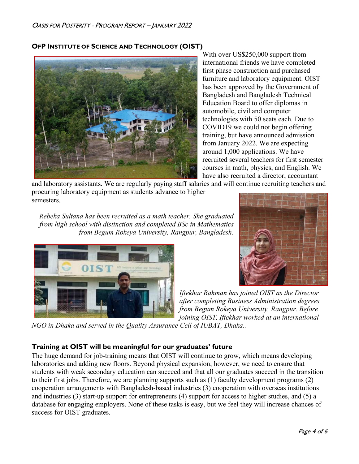### **OFP INSTITUTE OF SCIENCE AND TECHNOLOGY (OIST)**



With over US\$250,000 support from international friends we have completed first phase construction and purchased furniture and laboratory equipment. OIST has been approved by the Government of Bangladesh and Bangladesh Technical Education Board to offer diplomas in automobile, civil and computer technologies with 50 seats each. Due to COVID19 we could not begin offering training, but have announced admission from January 2022. We are expecting around 1,000 applications. We have recruited several teachers for first semester courses in math, physics, and English. We have also recruited a director, accountant

and laboratory assistants. We are regularly paying staff salaries and will continue recruiting teachers and procuring laboratory equipment as students advance to higher semesters.

*Rebeka Sultana has been recruited as a math teacher. She graduated from high school with distinction and completed BSc in Mathematics from Begum Rokeya University, Rangpur, Bangladesh.* 





*Iftekhar Rahman has joined OIST as the Director after completing Business Administration degrees from Begum Rokeya University, Rangpur. Before joining OIST, Iftekhar worked at an international* 

*NGO in Dhaka and served in the Quality Assurance Cell of IUBAT, Dhaka..* 

## **Training at OIST will be meaningful for our graduates' future**

The huge demand for job-training means that OIST will continue to grow, which means developing laboratories and adding new floors. Beyond physical expansion, however, we need to ensure that students with weak secondary education can succeed and that all our graduates succeed in the transition to their first jobs. Therefore, we are planning supports such as (1) faculty development programs (2) cooperation arrangements with Bangladesh-based industries (3) cooperation with overseas institutions and industries (3) start-up support for entrepreneurs (4) support for access to higher studies, and (5) a database for engaging employers. None of these tasks is easy, but we feel they will increase chances of success for OIST graduates.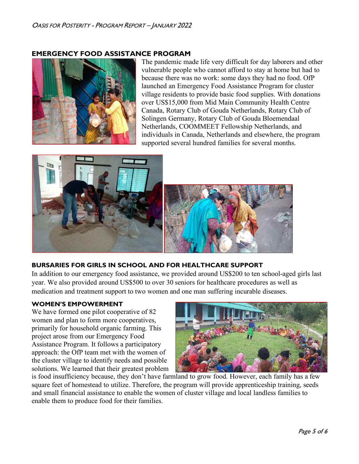### **EMERGENCY FOOD ASSISTANCE PROGRAM**



The pandemic made life very difficult for day laborers and other vulnerable people who cannot afford to stay at home but had to because there was no work: some days they had no food. OfP launched an Emergency Food Assistance Program for cluster village residents to provide basic food supplies. With donations over US\$15,000 from Mid Main Community Health Centre Canada, Rotary Club of Gouda Netherlands, Rotary Club of Solingen Germany, Rotary Club of Gouda Bloemendaal Netherlands, COOMMEET Fellowship Netherlands, and individuals in Canada, Netherlands and elsewhere, the program supported several hundred families for several months.



### **BURSARIES FOR GIRLS IN SCHOOL AND FOR HEALTHCARE SUPPORT**

In addition to our emergency food assistance, we provided around US\$200 to ten school-aged girls last year. We also provided around US\$500 to over 30 seniors for healthcare procedures as well as medication and treatment support to two women and one man suffering incurable diseases.

#### **WOMEN'S EMPOWERMENT**

We have formed one pilot cooperative of 82 women and plan to form more cooperatives, primarily for household organic farming. This project arose from our Emergency Food Assistance Program. It follows a participatory approach: the OfP team met with the women of the cluster village to identify needs and possible solutions. We learned that their greatest problem



is food insufficiency because, they don't have farmland to grow food. However, each family has a few square feet of homestead to utilize. Therefore, the program will provide apprenticeship training, seeds and small financial assistance to enable the women of cluster village and local landless families to enable them to produce food for their families.